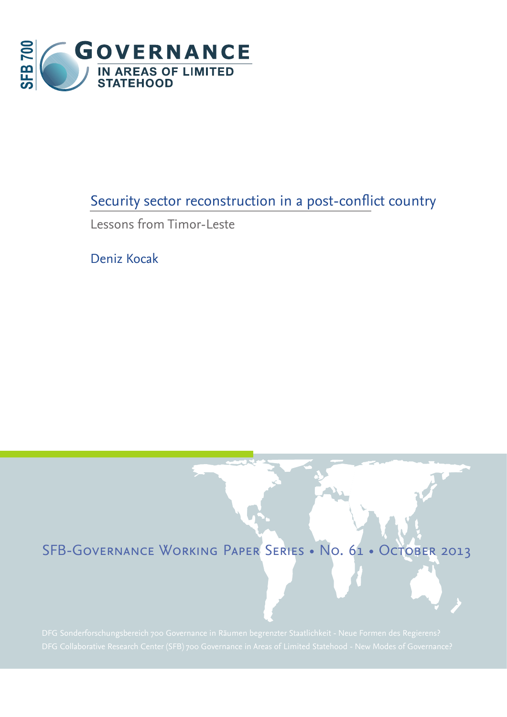

# Security sector reconstruction in a post-conflict country

Lessons from Timor-Leste

Deniz Kocak

# SFB-Governance Working Paper Series • No. 61 • October 2013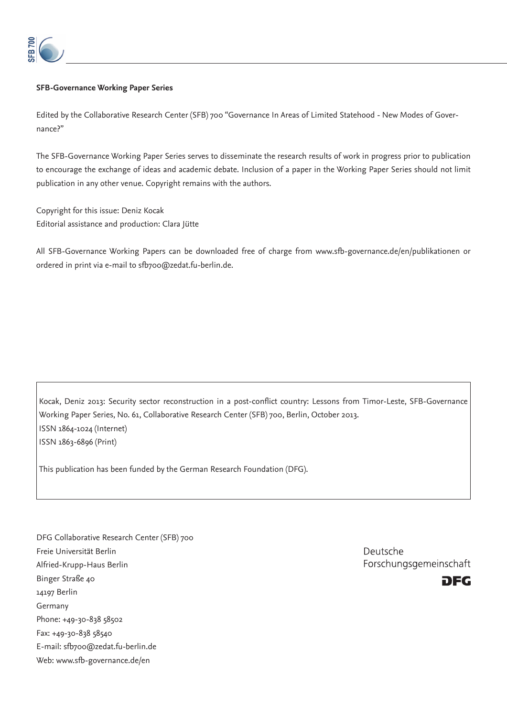

#### **SFB-Governance Working Paper Series**

Edited by the Collaborative Research Center (SFB) 700 "Governance In Areas of Limited Statehood - New Modes of Governance?"

The SFB-Governance Working Paper Series serves to disseminate the research results of work in progress prior to publication to encourage the exchange of ideas and academic debate. Inclusion of a paper in the Working Paper Series should not limit publication in any other venue. Copyright remains with the authors.

Copyright for this issue: Deniz Kocak Editorial assistance and production: Clara Jütte

All SFB-Governance Working Papers can be downloaded free of charge from www.sfb-governance.de/en/publikationen or ordered in print via e-mail to sfb700@zedat.fu-berlin.de.

Kocak, Deniz 2013: Security sector reconstruction in a post-conflict country: Lessons from Timor-Leste, SFB-Governance Working Paper Series, No. 61, Collaborative Research Center (SFB) 700, Berlin, October 2013. ISSN 1864-1024 (Internet) ISSN 1863-6896 (Print)

This publication has been funded by the German Research Foundation (DFG).

DFG Collaborative Research Center (SFB) 700 Freie Universität Berlin Alfried-Krupp-Haus Berlin Binger Straße 40 14197 Berlin Germany Phone: +49-30-838 58502 Fax: +49-30-838 58540 E-mail: sfb700@zedat.fu-berlin.de Web: www.sfb-governance.de/en

Deutsche Forschungsgemeinschaft

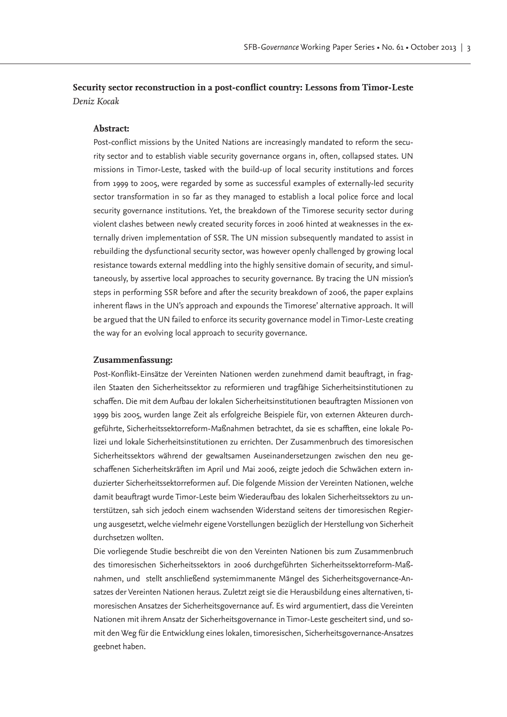**Security sector reconstruction in a post-conflict country: Lessons from Timor-Leste** *Deniz Kocak*

#### **Abstract:**

Post-conflict missions by the United Nations are increasingly mandated to reform the security sector and to establish viable security governance organs in, often, collapsed states. UN missions in Timor-Leste, tasked with the build-up of local security institutions and forces from 1999 to 2005, were regarded by some as successful examples of externally-led security sector transformation in so far as they managed to establish a local police force and local security governance institutions. Yet, the breakdown of the Timorese security sector during violent clashes between newly created security forces in 2006 hinted at weaknesses in the externally driven implementation of SSR. The UN mission subsequently mandated to assist in rebuilding the dysfunctional security sector, was however openly challenged by growing local resistance towards external meddling into the highly sensitive domain of security, and simultaneously, by assertive local approaches to security governance. By tracing the UN mission's steps in performing SSR before and after the security breakdown of 2006, the paper explains inherent flaws in the UN's approach and expounds the Timorese' alternative approach. It will be argued that the UN failed to enforce its security governance model in Timor-Leste creating the way for an evolving local approach to security governance.

#### **Zusammenfassung:**

Post-Konflikt-Einsätze der Vereinten Nationen werden zunehmend damit beauftragt, in fragilen Staaten den Sicherheitssektor zu reformieren und tragfähige Sicherheitsinstitutionen zu schaffen. Die mit dem Aufbau der lokalen Sicherheitsinstitutionen beauftragten Missionen von 1999 bis 2005, wurden lange Zeit als erfolgreiche Beispiele für, von externen Akteuren durchgeführte, Sicherheitssektorreform-Maßnahmen betrachtet, da sie es schafften, eine lokale Polizei und lokale Sicherheitsinstitutionen zu errichten. Der Zusammenbruch des timoresischen Sicherheitssektors während der gewaltsamen Auseinandersetzungen zwischen den neu geschaffenen Sicherheitskräften im April und Mai 2006, zeigte jedoch die Schwächen extern induzierter Sicherheitssektorreformen auf. Die folgende Mission der Vereinten Nationen, welche damit beauftragt wurde Timor-Leste beim Wiederaufbau des lokalen Sicherheitssektors zu unterstützen, sah sich jedoch einem wachsenden Widerstand seitens der timoresischen Regierung ausgesetzt, welche vielmehr eigene Vorstellungen bezüglich der Herstellung von Sicherheit durchsetzen wollten.

Die vorliegende Studie beschreibt die von den Vereinten Nationen bis zum Zusammenbruch des timoresischen Sicherheitssektors in 2006 durchgeführten Sicherheitssektorreform-Maßnahmen, und stellt anschließend systemimmanente Mängel des Sicherheitsgovernance-Ansatzes der Vereinten Nationen heraus. Zuletzt zeigt sie die Herausbildung eines alternativen, timoresischen Ansatzes der Sicherheitsgovernance auf. Es wird argumentiert, dass die Vereinten Nationen mit ihrem Ansatz der Sicherheitsgovernance in Timor-Leste gescheitert sind, und somit den Weg für die Entwicklung eines lokalen, timoresischen, Sicherheitsgovernance-Ansatzes geebnet haben.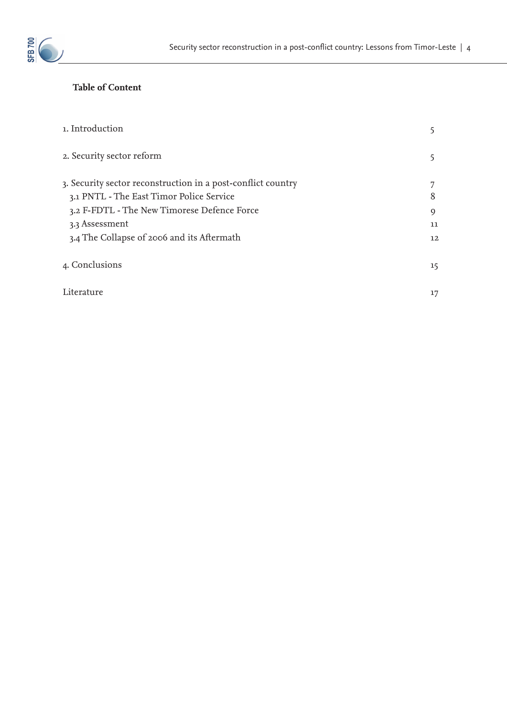

# **Table of Content**

| 1. Introduction                                                                                                                                                                                                         |                              |
|-------------------------------------------------------------------------------------------------------------------------------------------------------------------------------------------------------------------------|------------------------------|
| 2. Security sector reform                                                                                                                                                                                               |                              |
| 3. Security sector reconstruction in a post-conflict country<br>3.1 PNTL - The East Timor Police Service<br>3.2 F-FDTL - The New Timorese Defence Force<br>3.3 Assessment<br>3.4 The Collapse of 2006 and its Aftermath | 7<br>8<br>9<br>11<br>$12 \,$ |
| 4. Conclusions                                                                                                                                                                                                          | 15                           |
| Literature                                                                                                                                                                                                              | 17                           |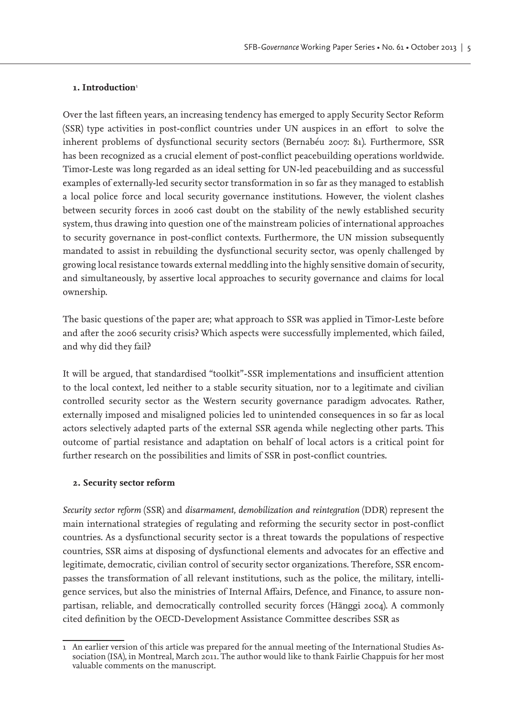## 1. Introduction<sup>1</sup>

Over the last fifteen years, an increasing tendency has emerged to apply Security Sector Reform (SSR) type activities in post-conflict countries under UN auspices in an effort to solve the inherent problems of dysfunctional security sectors (Bernabéu 2007: 81). Furthermore, SSR has been recognized as a crucial element of post-conflict peacebuilding operations worldwide. Timor-Leste was long regarded as an ideal setting for UN-led peacebuilding and as successful examples of externally-led security sector transformation in so far as they managed to establish a local police force and local security governance institutions. However, the violent clashes between security forces in 2006 cast doubt on the stability of the newly established security system, thus drawing into question one of the mainstream policies of international approaches to security governance in post-conflict contexts. Furthermore, the UN mission subsequently mandated to assist in rebuilding the dysfunctional security sector, was openly challenged by growing local resistance towards external meddling into the highly sensitive domain of security, and simultaneously, by assertive local approaches to security governance and claims for local ownership.

The basic questions of the paper are; what approach to SSR was applied in Timor-Leste before and after the 2006 security crisis? Which aspects were successfully implemented, which failed, and why did they fail?

It will be argued, that standardised "toolkit"-SSR implementations and insufficient attention to the local context, led neither to a stable security situation, nor to a legitimate and civilian controlled security sector as the Western security governance paradigm advocates. Rather, externally imposed and misaligned policies led to unintended consequences in so far as local actors selectively adapted parts of the external SSR agenda while neglecting other parts. This outcome of partial resistance and adaptation on behalf of local actors is a critical point for further research on the possibilities and limits of SSR in post-conflict countries.

## **2. Security sector reform**

*Security sector reform* (SSR) and *disarmament, demobilization and reintegration* (DDR) represent the main international strategies of regulating and reforming the security sector in post-conflict countries. As a dysfunctional security sector is a threat towards the populations of respective countries, SSR aims at disposing of dysfunctional elements and advocates for an effective and legitimate, democratic, civilian control of security sector organizations. Therefore, SSR encompasses the transformation of all relevant institutions, such as the police, the military, intelligence services, but also the ministries of Internal Affairs, Defence, and Finance, to assure nonpartisan, reliable, and democratically controlled security forces (Hänggi 2004). A commonly cited definition by the OECD-Development Assistance Committee describes SSR as

<sup>1</sup> An earlier version of this article was prepared for the annual meeting of the International Studies Association (ISA), in Montreal, March 2011. The author would like to thank Fairlie Chappuis for her most valuable comments on the manuscript.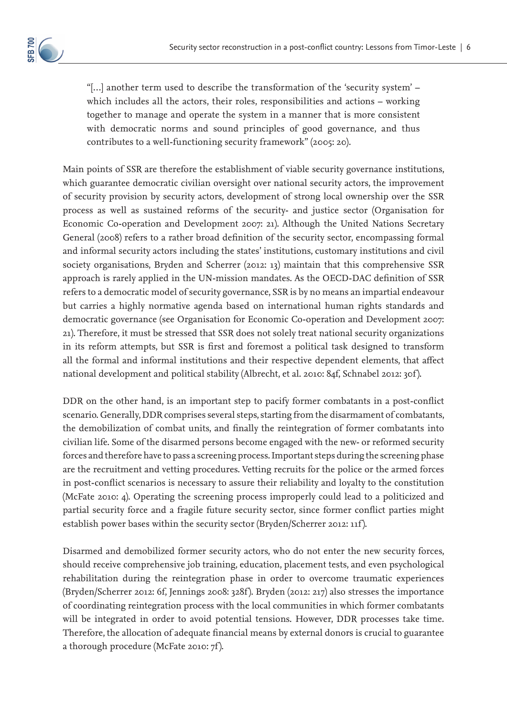

"[…] another term used to describe the transformation of the 'security system' – which includes all the actors, their roles, responsibilities and actions – working together to manage and operate the system in a manner that is more consistent with democratic norms and sound principles of good governance, and thus contributes to a well-functioning security framework" (2005: 20).

Main points of SSR are therefore the establishment of viable security governance institutions, which guarantee democratic civilian oversight over national security actors, the improvement of security provision by security actors, development of strong local ownership over the SSR process as well as sustained reforms of the security- and justice sector (Organisation for Economic Co-operation and Development 2007: 21). Although the United Nations Secretary General (2008) refers to a rather broad definition of the security sector, encompassing formal and informal security actors including the states' institutions, customary institutions and civil society organisations, Bryden and Scherrer (2012: 13) maintain that this comprehensive SSR approach is rarely applied in the UN-mission mandates. As the OECD-DAC definition of SSR refers to a democratic model of security governance, SSR is by no means an impartial endeavour but carries a highly normative agenda based on international human rights standards and democratic governance (see Organisation for Economic Co-operation and Development 2007: 21). Therefore, it must be stressed that SSR does not solely treat national security organizations in its reform attempts, but SSR is first and foremost a political task designed to transform all the formal and informal institutions and their respective dependent elements, that affect national development and political stability (Albrecht, et al. 2010: 84f, Schnabel 2012: 30f ).

DDR on the other hand, is an important step to pacify former combatants in a post-conflict scenario. Generally, DDR comprises several steps, starting from the disarmament of combatants, the demobilization of combat units, and finally the reintegration of former combatants into civilian life. Some of the disarmed persons become engaged with the new- or reformed security forces and therefore have to pass a screening process. Important steps during the screening phase are the recruitment and vetting procedures. Vetting recruits for the police or the armed forces in post-conflict scenarios is necessary to assure their reliability and loyalty to the constitution (McFate 2010: 4). Operating the screening process improperly could lead to a politicized and partial security force and a fragile future security sector, since former conflict parties might establish power bases within the security sector (Bryden/Scherrer 2012: 11f ).

Disarmed and demobilized former security actors, who do not enter the new security forces, should receive comprehensive job training, education, placement tests, and even psychological rehabilitation during the reintegration phase in order to overcome traumatic experiences (Bryden/Scherrer 2012: 6f, Jennings 2008: 328f ). Bryden (2012: 217) also stresses the importance of coordinating reintegration process with the local communities in which former combatants will be integrated in order to avoid potential tensions. However, DDR processes take time. Therefore, the allocation of adequate financial means by external donors is crucial to guarantee a thorough procedure (McFate 2010: 7f ).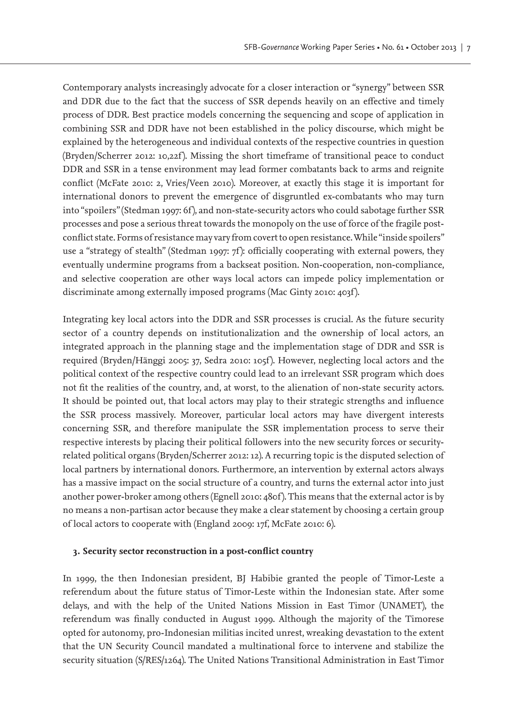Contemporary analysts increasingly advocate for a closer interaction or "synergy" between SSR and DDR due to the fact that the success of SSR depends heavily on an effective and timely process of DDR. Best practice models concerning the sequencing and scope of application in combining SSR and DDR have not been established in the policy discourse, which might be explained by the heterogeneous and individual contexts of the respective countries in question (Bryden/Scherrer 2012: 10,22f ). Missing the short timeframe of transitional peace to conduct DDR and SSR in a tense environment may lead former combatants back to arms and reignite conflict (McFate 2010: 2, Vries/Veen 2010). Moreover, at exactly this stage it is important for international donors to prevent the emergence of disgruntled ex-combatants who may turn into "spoilers" (Stedman 1997: 6f ), and non-state-security actors who could sabotage further SSR processes and pose a serious threat towards the monopoly on the use of force of the fragile postconflict state. Forms of resistance may vary from covert to open resistance. While "inside spoilers" use a "strategy of stealth" (Stedman 1997: 7f): officially cooperating with external powers, they eventually undermine programs from a backseat position. Non-cooperation, non-compliance, and selective cooperation are other ways local actors can impede policy implementation or discriminate among externally imposed programs (Mac Ginty 2010: 403f ).

Integrating key local actors into the DDR and SSR processes is crucial. As the future security sector of a country depends on institutionalization and the ownership of local actors, an integrated approach in the planning stage and the implementation stage of DDR and SSR is required (Bryden/Hänggi 2005: 37, Sedra 2010: 105f ). However, neglecting local actors and the political context of the respective country could lead to an irrelevant SSR program which does not fit the realities of the country, and, at worst, to the alienation of non-state security actors. It should be pointed out, that local actors may play to their strategic strengths and influence the SSR process massively. Moreover, particular local actors may have divergent interests concerning SSR, and therefore manipulate the SSR implementation process to serve their respective interests by placing their political followers into the new security forces or securityrelated political organs (Bryden/Scherrer 2012: 12). A recurring topic is the disputed selection of local partners by international donors. Furthermore, an intervention by external actors always has a massive impact on the social structure of a country, and turns the external actor into just another power-broker among others (Egnell 2010: 480f ). This means that the external actor is by no means a non-partisan actor because they make a clear statement by choosing a certain group of local actors to cooperate with (England 2009: 17f, McFate 2010: 6).

## **3. Security sector reconstruction in a post-conflict country**

In 1999, the then Indonesian president, BJ Habibie granted the people of Timor-Leste a referendum about the future status of Timor-Leste within the Indonesian state. After some delays, and with the help of the United Nations Mission in East Timor (UNAMET), the referendum was finally conducted in August 1999. Although the majority of the Timorese opted for autonomy, pro-Indonesian militias incited unrest, wreaking devastation to the extent that the UN Security Council mandated a multinational force to intervene and stabilize the security situation (S/RES/1264). The United Nations Transitional Administration in East Timor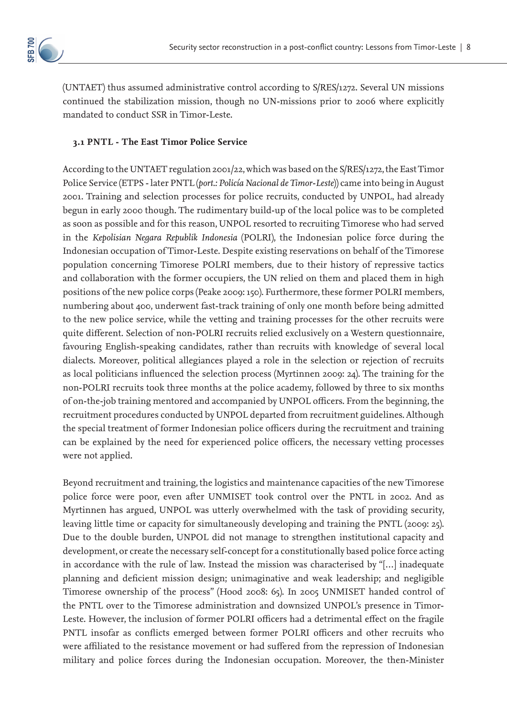

(UNTAET) thus assumed administrative control according to S/RES/1272. Several UN missions continued the stabilization mission, though no UN-missions prior to 2006 where explicitly mandated to conduct SSR in Timor-Leste.

# **3.1 PNTL - The East Timor Police Service**

According to the UNTAET regulation 2001/22, which was based on the S/RES/1272, the East Timor Police Service (ETPS - later PNTL (*port.: Policía Nacional de Timor-Leste*)) came into being in August 2001. Training and selection processes for police recruits, conducted by UNPOL, had already begun in early 2000 though. The rudimentary build-up of the local police was to be completed as soon as possible and for this reason, UNPOL resorted to recruiting Timorese who had served in the *Kepolisian Negara Republik Indonesia* (POLRI), the Indonesian police force during the Indonesian occupation of Timor-Leste. Despite existing reservations on behalf of the Timorese population concerning Timorese POLRI members, due to their history of repressive tactics and collaboration with the former occupiers, the UN relied on them and placed them in high positions of the new police corps (Peake 2009: 150). Furthermore, these former POLRI members, numbering about 400, underwent fast-track training of only one month before being admitted to the new police service, while the vetting and training processes for the other recruits were quite different. Selection of non-POLRI recruits relied exclusively on a Western questionnaire, favouring English-speaking candidates, rather than recruits with knowledge of several local dialects. Moreover, political allegiances played a role in the selection or rejection of recruits as local politicians influenced the selection process (Myrtinnen 2009: 24). The training for the non-POLRI recruits took three months at the police academy, followed by three to six months of on-the-job training mentored and accompanied by UNPOL officers. From the beginning, the recruitment procedures conducted by UNPOL departed from recruitment guidelines. Although the special treatment of former Indonesian police officers during the recruitment and training can be explained by the need for experienced police officers, the necessary vetting processes were not applied.

Beyond recruitment and training, the logistics and maintenance capacities of the new Timorese police force were poor, even after UNMISET took control over the PNTL in 2002. And as Myrtinnen has argued, UNPOL was utterly overwhelmed with the task of providing security, leaving little time or capacity for simultaneously developing and training the PNTL (2009: 25). Due to the double burden, UNPOL did not manage to strengthen institutional capacity and development, or create the necessary self-concept for a constitutionally based police force acting in accordance with the rule of law. Instead the mission was characterised by "[…] inadequate planning and deficient mission design; unimaginative and weak leadership; and negligible Timorese ownership of the process" (Hood 2008: 65). In 2005 UNMISET handed control of the PNTL over to the Timorese administration and downsized UNPOL's presence in Timor-Leste. However, the inclusion of former POLRI officers had a detrimental effect on the fragile PNTL insofar as conflicts emerged between former POLRI officers and other recruits who were affiliated to the resistance movement or had suffered from the repression of Indonesian military and police forces during the Indonesian occupation. Moreover, the then-Minister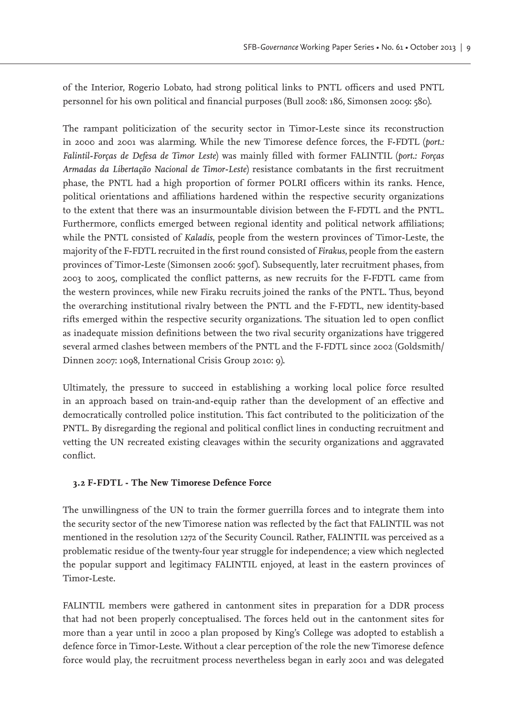of the Interior, Rogerio Lobato, had strong political links to PNTL officers and used PNTL personnel for his own political and financial purposes (Bull 2008: 186, Simonsen 2009: 580).

The rampant politicization of the security sector in Timor-Leste since its reconstruction in 2000 and 2001 was alarming. While the new Timorese defence forces, the F-FDTL (*port.: Falintil-Forças de Defesa de Timor Leste*) was mainly filled with former FALINTIL (*port.: Forças Armadas da Libertação Nacional de Timor-Leste*) resistance combatants in the first recruitment phase, the PNTL had a high proportion of former POLRI officers within its ranks. Hence, political orientations and affiliations hardened within the respective security organizations to the extent that there was an insurmountable division between the F-FDTL and the PNTL. Furthermore, conflicts emerged between regional identity and political network affiliations; while the PNTL consisted of *Kaladis*, people from the western provinces of Timor-Leste, the majority of the F-FDTL recruited in the first round consisted of *Firakus*, people from the eastern provinces of Timor-Leste (Simonsen 2006: 590f). Subsequently, later recruitment phases, from 2003 to 2005, complicated the conflict patterns, as new recruits for the F-FDTL came from the western provinces, while new Firaku recruits joined the ranks of the PNTL. Thus, beyond the overarching institutional rivalry between the PNTL and the F-FDTL, new identity-based rifts emerged within the respective security organizations. The situation led to open conflict as inadequate mission definitions between the two rival security organizations have triggered several armed clashes between members of the PNTL and the F-FDTL since 2002 (Goldsmith/ Dinnen 2007: 1098, International Crisis Group 2010: 9).

Ultimately, the pressure to succeed in establishing a working local police force resulted in an approach based on train-and-equip rather than the development of an effective and democratically controlled police institution. This fact contributed to the politicization of the PNTL. By disregarding the regional and political conflict lines in conducting recruitment and vetting the UN recreated existing cleavages within the security organizations and aggravated conflict.

# **3.2 F-FDTL - The New Timorese Defence Force**

The unwillingness of the UN to train the former guerrilla forces and to integrate them into the security sector of the new Timorese nation was reflected by the fact that FALINTIL was not mentioned in the resolution 1272 of the Security Council. Rather, FALINTIL was perceived as a problematic residue of the twenty-four year struggle for independence; a view which neglected the popular support and legitimacy FALINTIL enjoyed, at least in the eastern provinces of Timor-Leste.

FALINTIL members were gathered in cantonment sites in preparation for a DDR process that had not been properly conceptualised. The forces held out in the cantonment sites for more than a year until in 2000 a plan proposed by King's College was adopted to establish a defence force in Timor-Leste. Without a clear perception of the role the new Timorese defence force would play, the recruitment process nevertheless began in early 2001 and was delegated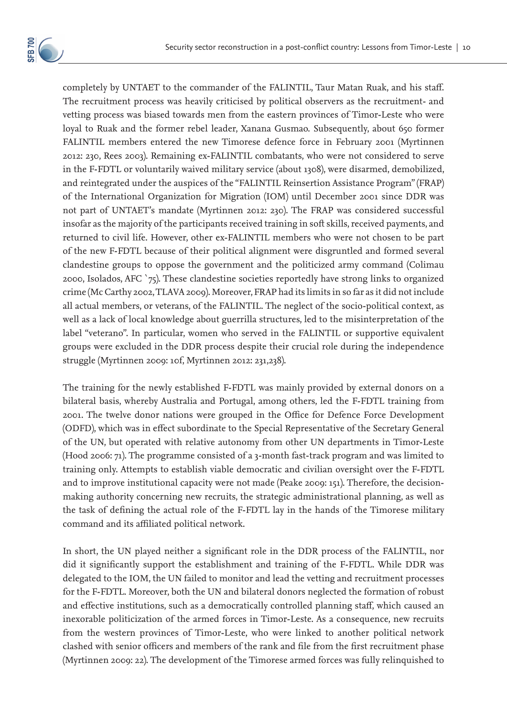completely by UNTAET to the commander of the FALINTIL, Taur Matan Ruak, and his staff. The recruitment process was heavily criticised by political observers as the recruitment- and vetting process was biased towards men from the eastern provinces of Timor-Leste who were loyal to Ruak and the former rebel leader, Xanana Gusmao. Subsequently, about 650 former FALINTIL members entered the new Timorese defence force in February 2001 (Myrtinnen 2012: 230, Rees 2003). Remaining ex-FALINTIL combatants, who were not considered to serve in the F-FDTL or voluntarily waived military service (about 1308), were disarmed, demobilized, and reintegrated under the auspices of the "FALINTIL Reinsertion Assistance Program" (FRAP) of the International Organization for Migration (IOM) until December 2001 since DDR was not part of UNTAET's mandate (Myrtinnen 2012: 230). The FRAP was considered successful insofar as the majority of the participants received training in soft skills, received payments, and returned to civil life. However, other ex-FALINTIL members who were not chosen to be part of the new F-FDTL because of their political alignment were disgruntled and formed several clandestine groups to oppose the government and the politicized army command (Colimau 2000, Isolados, AFC `75). These clandestine societies reportedly have strong links to organized crime (Mc Carthy 2002, TLAVA 2009). Moreover, FRAP had its limits in so far as it did not include all actual members, or veterans, of the FALINTIL. The neglect of the socio-political context, as well as a lack of local knowledge about guerrilla structures, led to the misinterpretation of the label "veterano". In particular, women who served in the FALINTIL or supportive equivalent groups were excluded in the DDR process despite their crucial role during the independence struggle (Myrtinnen 2009: 10f, Myrtinnen 2012: 231,238).

The training for the newly established F-FDTL was mainly provided by external donors on a bilateral basis, whereby Australia and Portugal, among others, led the F-FDTL training from 2001. The twelve donor nations were grouped in the Office for Defence Force Development (ODFD), which was in effect subordinate to the Special Representative of the Secretary General of the UN, but operated with relative autonomy from other UN departments in Timor-Leste (Hood 2006: 71). The programme consisted of a 3-month fast-track program and was limited to training only. Attempts to establish viable democratic and civilian oversight over the F-FDTL and to improve institutional capacity were not made (Peake 2009: 151). Therefore, the decisionmaking authority concerning new recruits, the strategic administrational planning, as well as the task of defining the actual role of the F-FDTL lay in the hands of the Timorese military command and its affiliated political network.

In short, the UN played neither a significant role in the DDR process of the FALINTIL, nor did it significantly support the establishment and training of the F-FDTL. While DDR was delegated to the IOM, the UN failed to monitor and lead the vetting and recruitment processes for the F-FDTL. Moreover, both the UN and bilateral donors neglected the formation of robust and effective institutions, such as a democratically controlled planning staff, which caused an inexorable politicization of the armed forces in Timor-Leste. As a consequence, new recruits from the western provinces of Timor-Leste, who were linked to another political network clashed with senior officers and members of the rank and file from the first recruitment phase (Myrtinnen 2009: 22). The development of the Timorese armed forces was fully relinquished to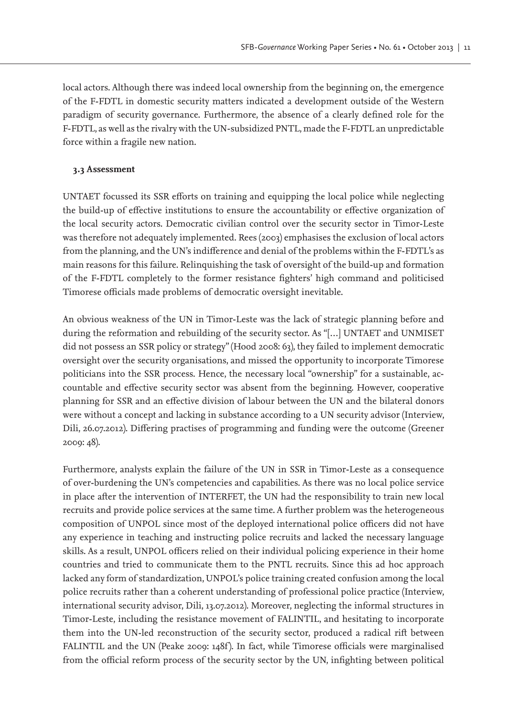local actors. Although there was indeed local ownership from the beginning on, the emergence of the F-FDTL in domestic security matters indicated a development outside of the Western paradigm of security governance. Furthermore, the absence of a clearly defined role for the F-FDTL, as well as the rivalry with the UN-subsidized PNTL, made the F-FDTL an unpredictable force within a fragile new nation.

# **3.3 Assessment**

UNTAET focussed its SSR efforts on training and equipping the local police while neglecting the build-up of effective institutions to ensure the accountability or effective organization of the local security actors. Democratic civilian control over the security sector in Timor-Leste was therefore not adequately implemented. Rees (2003) emphasises the exclusion of local actors from the planning, and the UN's indifference and denial of the problems within the F-FDTL's as main reasons for this failure. Relinquishing the task of oversight of the build-up and formation of the F-FDTL completely to the former resistance fighters' high command and politicised Timorese officials made problems of democratic oversight inevitable.

An obvious weakness of the UN in Timor-Leste was the lack of strategic planning before and during the reformation and rebuilding of the security sector. As "[…] UNTAET and UNMISET did not possess an SSR policy or strategy" (Hood 2008: 63), they failed to implement democratic oversight over the security organisations, and missed the opportunity to incorporate Timorese politicians into the SSR process. Hence, the necessary local "ownership" for a sustainable, accountable and effective security sector was absent from the beginning. However, cooperative planning for SSR and an effective division of labour between the UN and the bilateral donors were without a concept and lacking in substance according to a UN security advisor (Interview, Dili, 26.07.2012). Differing practises of programming and funding were the outcome (Greener 2009: 48).

Furthermore, analysts explain the failure of the UN in SSR in Timor-Leste as a consequence of over-burdening the UN's competencies and capabilities. As there was no local police service in place after the intervention of INTERFET, the UN had the responsibility to train new local recruits and provide police services at the same time. A further problem was the heterogeneous composition of UNPOL since most of the deployed international police officers did not have any experience in teaching and instructing police recruits and lacked the necessary language skills. As a result, UNPOL officers relied on their individual policing experience in their home countries and tried to communicate them to the PNTL recruits. Since this ad hoc approach lacked any form of standardization, UNPOL's police training created confusion among the local police recruits rather than a coherent understanding of professional police practice (Interview, international security advisor, Dili, 13.07.2012). Moreover, neglecting the informal structures in Timor-Leste, including the resistance movement of FALINTIL, and hesitating to incorporate them into the UN-led reconstruction of the security sector, produced a radical rift between FALINTIL and the UN (Peake 2009: 148f). In fact, while Timorese officials were marginalised from the official reform process of the security sector by the UN, infighting between political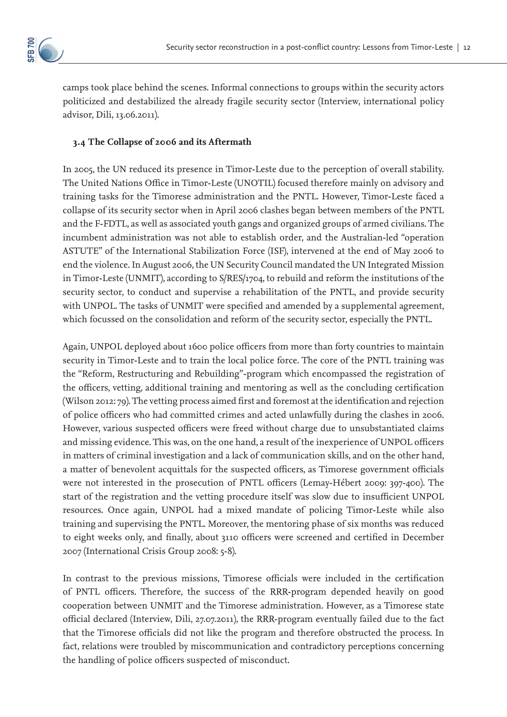

camps took place behind the scenes. Informal connections to groups within the security actors politicized and destabilized the already fragile security sector (Interview, international policy advisor, Dili, 13.06.2011).

# **3.4 The Collapse of 2006 and its Aftermath**

In 2005, the UN reduced its presence in Timor-Leste due to the perception of overall stability. The United Nations Office in Timor-Leste (UNOTIL) focused therefore mainly on advisory and training tasks for the Timorese administration and the PNTL. However, Timor-Leste faced a collapse of its security sector when in April 2006 clashes began between members of the PNTL and the F-FDTL, as well as associated youth gangs and organized groups of armed civilians. The incumbent administration was not able to establish order, and the Australian-led "operation ASTUTE" of the International Stabilization Force (ISF), intervened at the end of May 2006 to end the violence. In August 2006, the UN Security Council mandated the UN Integrated Mission in Timor-Leste (UNMIT), according to S/RES/1704, to rebuild and reform the institutions of the security sector, to conduct and supervise a rehabilitation of the PNTL, and provide security with UNPOL. The tasks of UNMIT were specified and amended by a supplemental agreement, which focussed on the consolidation and reform of the security sector, especially the PNTL.

Again, UNPOL deployed about 1600 police officers from more than forty countries to maintain security in Timor-Leste and to train the local police force. The core of the PNTL training was the "Reform, Restructuring and Rebuilding"-program which encompassed the registration of the officers, vetting, additional training and mentoring as well as the concluding certification (Wilson 2012: 79). The vetting process aimed first and foremost at the identification and rejection of police officers who had committed crimes and acted unlawfully during the clashes in 2006. However, various suspected officers were freed without charge due to unsubstantiated claims and missing evidence. This was, on the one hand, a result of the inexperience of UNPOL officers in matters of criminal investigation and a lack of communication skills, and on the other hand, a matter of benevolent acquittals for the suspected officers, as Timorese government officials were not interested in the prosecution of PNTL officers (Lemay-Hébert 2009: 397-400). The start of the registration and the vetting procedure itself was slow due to insufficient UNPOL resources. Once again, UNPOL had a mixed mandate of policing Timor-Leste while also training and supervising the PNTL. Moreover, the mentoring phase of six months was reduced to eight weeks only, and finally, about 3110 officers were screened and certified in December 2007 (International Crisis Group 2008: 5-8).

In contrast to the previous missions, Timorese officials were included in the certification of PNTL officers. Therefore, the success of the RRR-program depended heavily on good cooperation between UNMIT and the Timorese administration. However, as a Timorese state official declared (Interview, Dili, 27.07.2011), the RRR-program eventually failed due to the fact that the Timorese officials did not like the program and therefore obstructed the process. In fact, relations were troubled by miscommunication and contradictory perceptions concerning the handling of police officers suspected of misconduct.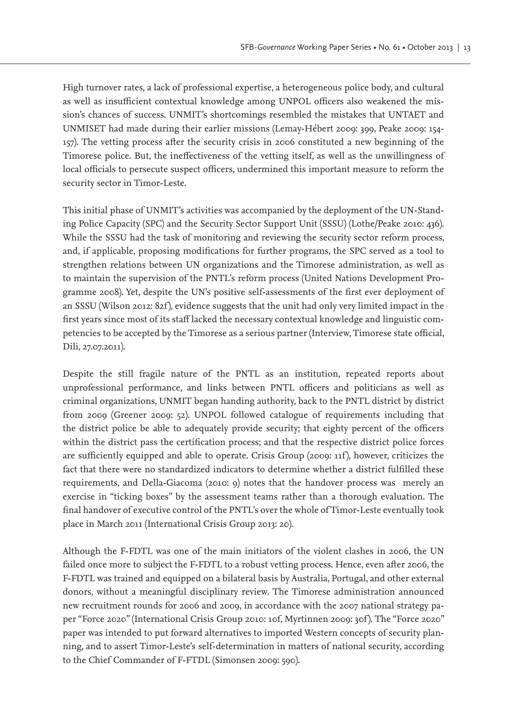High turnover rates, a lack of professional expertise, a heterogeneous police body, and cultural as well as insufficient contextual knowledge among UNPOL officers also weakened the mission's chances of success. UNMIT's shortcomings resembled the mistakes that UNTAET and UNMISET had made during their earlier missions (Lemay-Hébert 2009: 399, Peake 2009: 154- 157). The vetting process after the security crisis in 2006 constituted a new beginning of the Timorese police. But, the ineffectiveness of the vetting itself, as well as the unwillingness of local officials to persecute suspect officers, undermined this important measure to reform the security sector in Timor-Leste.

This initial phase of UNMIT's activities was accompanied by the deployment of the UN-Standing Police Capacity (SPC) and the Security Sector Support Unit (SSSU) (Lothe/Peake 2010: 436). While the SSSU had the task of monitoring and reviewing the security sector reform process, and, if applicable, proposing modifications for further programs, the SPC served as a tool to strengthen relations between UN organizations and the Timorese administration, as well as to maintain the supervision of the PNTL's reform process (United Nations Development Programme 2008). Yet, despite the UN's positive self-assessments of the first ever deployment of an SSSU (Wilson 2012: 82f), evidence suggests that the unit had only very limited impact in the first years since most of its staff lacked the necessary contextual knowledge and linguistic competencies to be accepted by the Timorese as a serious partner (Interview, Timorese state official, Dili, 27.07.2011).

Despite the still fragile nature of the PNTL as an institution, repeated reports about unprofessional performance, and links between PNTL officers and politicians as well as criminal organizations, UNMIT began handing authority, back to the PNTL district by district from 2009 (Greener 2009: 52). UNPOL followed catalogue of requirements including that the district police be able to adequately provide security; that eighty percent of the officers within the district pass the certification process; and that the respective district police forces are sufficiently equipped and able to operate. Crisis Group (2009: 11f), however, criticizes the fact that there were no standardized indicators to determine whether a district fulfilled these requirements, and Della-Giacoma (2010: 9) notes that the handover process was merely an exercise in "ticking boxes" by the assessment teams rather than a thorough evaluation. The final handover of executive control of the PNTL's over the whole of Timor-Leste eventually took place in March 2011 (International Crisis Group 2013: 20).

Although the F-FDTL was one of the main initiators of the violent clashes in 2006, the UN failed once more to subject the F-FDTL to a robust vetting process. Hence, even after 2006, the F-FDTL was trained and equipped on a bilateral basis by Australia, Portugal, and other external donors, without a meaningful disciplinary review. The Timorese administration announced new recruitment rounds for 2006 and 2009, in accordance with the 2007 national strategy paper "Force 2020" (International Crisis Group 2010: 10f, Myrtinnen 2009: 30f ). The "Force 2020" paper was intended to put forward alternatives to imported Western concepts of security planning, and to assert Timor-Leste's self-determination in matters of national security, according to the Chief Commander of F-FTDL (Simonsen 2009: 590).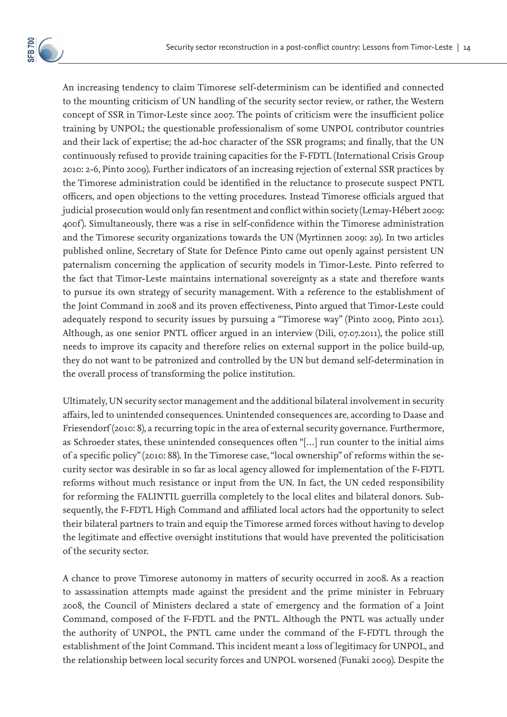An increasing tendency to claim Timorese self-determinism can be identified and connected to the mounting criticism of UN handling of the security sector review, or rather, the Western concept of SSR in Timor-Leste since 2007. The points of criticism were the insufficient police training by UNPOL; the questionable professionalism of some UNPOL contributor countries and their lack of expertise; the ad-hoc character of the SSR programs; and finally, that the UN continuously refused to provide training capacities for the F-FDTL (International Crisis Group 2010: 2-6, Pinto 2009). Further indicators of an increasing rejection of external SSR practices by the Timorese administration could be identified in the reluctance to prosecute suspect PNTL officers, and open objections to the vetting procedures. Instead Timorese officials argued that judicial prosecution would only fan resentment and conflict within society (Lemay-Hébert 2009: 400f). Simultaneously, there was a rise in self-confidence within the Timorese administration and the Timorese security organizations towards the UN (Myrtinnen 2009: 29). In two articles published online, Secretary of State for Defence Pinto came out openly against persistent UN paternalism concerning the application of security models in Timor-Leste. Pinto referred to the fact that Timor-Leste maintains international sovereignty as a state and therefore wants to pursue its own strategy of security management. With a reference to the establishment of the Joint Command in 2008 and its proven effectiveness, Pinto argued that Timor-Leste could adequately respond to security issues by pursuing a "Timorese way" (Pinto 2009, Pinto 2011). Although, as one senior PNTL officer argued in an interview (Dili, 07.07.2011), the police still needs to improve its capacity and therefore relies on external support in the police build-up, they do not want to be patronized and controlled by the UN but demand self-determination in the overall process of transforming the police institution.

Ultimately, UN security sector management and the additional bilateral involvement in security affairs, led to unintended consequences. Unintended consequences are, according to Daase and Friesendorf (2010: 8), a recurring topic in the area of external security governance. Furthermore, as Schroeder states, these unintended consequences often "[…] run counter to the initial aims of a specific policy" (2010: 88). In the Timorese case, "local ownership" of reforms within the security sector was desirable in so far as local agency allowed for implementation of the F-FDTL reforms without much resistance or input from the UN. In fact, the UN ceded responsibility for reforming the FALINTIL guerrilla completely to the local elites and bilateral donors. Subsequently, the F-FDTL High Command and affiliated local actors had the opportunity to select their bilateral partners to train and equip the Timorese armed forces without having to develop the legitimate and effective oversight institutions that would have prevented the politicisation of the security sector.

A chance to prove Timorese autonomy in matters of security occurred in 2008. As a reaction to assassination attempts made against the president and the prime minister in February 2008, the Council of Ministers declared a state of emergency and the formation of a Joint Command, composed of the F-FDTL and the PNTL. Although the PNTL was actually under the authority of UNPOL, the PNTL came under the command of the F-FDTL through the establishment of the Joint Command. This incident meant a loss of legitimacy for UNPOL, and the relationship between local security forces and UNPOL worsened (Funaki 2009). Despite the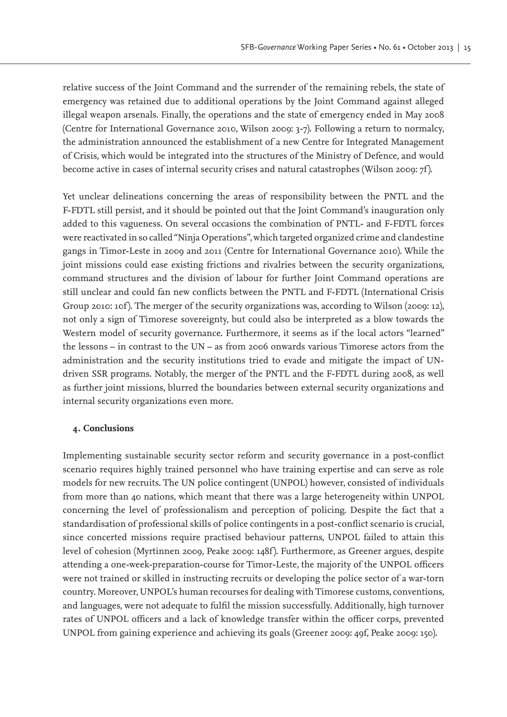relative success of the Joint Command and the surrender of the remaining rebels, the state of emergency was retained due to additional operations by the Joint Command against alleged illegal weapon arsenals. Finally, the operations and the state of emergency ended in May 2008 (Centre for International Governance 2010, Wilson 2009: 3-7). Following a return to normalcy, the administration announced the establishment of a new Centre for Integrated Management of Crisis, which would be integrated into the structures of the Ministry of Defence, and would become active in cases of internal security crises and natural catastrophes (Wilson 2009: 7f ).

Yet unclear delineations concerning the areas of responsibility between the PNTL and the F-FDTL still persist, and it should be pointed out that the Joint Command's inauguration only added to this vagueness. On several occasions the combination of PNTL- and F-FDTL forces were reactivated in so called "Ninja Operations", which targeted organized crime and clandestine gangs in Timor-Leste in 2009 and 2011 (Centre for International Governance 2010). While the joint missions could ease existing frictions and rivalries between the security organizations, command structures and the division of labour for further Joint Command operations are still unclear and could fan new conflicts between the PNTL and F-FDTL (International Crisis Group 2010: 10f). The merger of the security organizations was, according to Wilson (2009: 12), not only a sign of Timorese sovereignty, but could also be interpreted as a blow towards the Western model of security governance. Furthermore, it seems as if the local actors "learned" the lessons – in contrast to the UN – as from 2006 onwards various Timorese actors from the administration and the security institutions tried to evade and mitigate the impact of UNdriven SSR programs. Notably, the merger of the PNTL and the F-FDTL during 2008, as well as further joint missions, blurred the boundaries between external security organizations and internal security organizations even more.

# **4. Conclusions**

Implementing sustainable security sector reform and security governance in a post-conflict scenario requires highly trained personnel who have training expertise and can serve as role models for new recruits. The UN police contingent (UNPOL) however, consisted of individuals from more than 40 nations, which meant that there was a large heterogeneity within UNPOL concerning the level of professionalism and perception of policing. Despite the fact that a standardisation of professional skills of police contingents in a post-conflict scenario is crucial, since concerted missions require practised behaviour patterns, UNPOL failed to attain this level of cohesion (Myrtinnen 2009, Peake 2009: 148f). Furthermore, as Greener argues, despite attending a one-week-preparation-course for Timor-Leste, the majority of the UNPOL officers were not trained or skilled in instructing recruits or developing the police sector of a war-torn country. Moreover, UNPOL's human recourses for dealing with Timorese customs, conventions, and languages, were not adequate to fulfil the mission successfully. Additionally, high turnover rates of UNPOL officers and a lack of knowledge transfer within the officer corps, prevented UNPOL from gaining experience and achieving its goals (Greener 2009: 49f, Peake 2009: 150).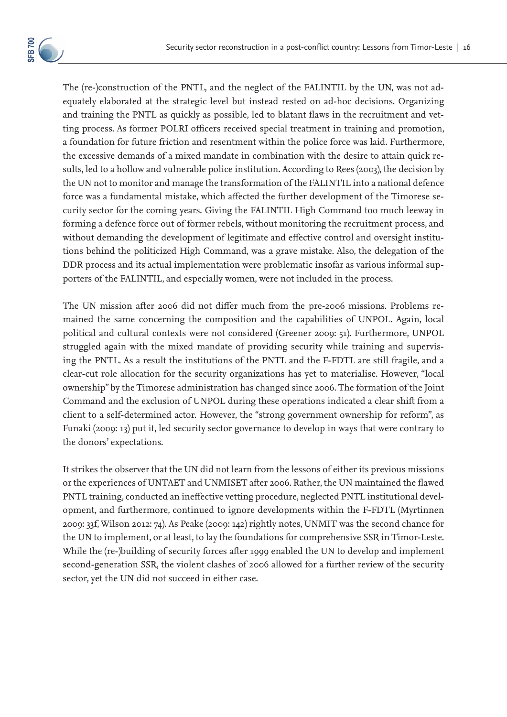

The (re-)construction of the PNTL, and the neglect of the FALINTIL by the UN, was not adequately elaborated at the strategic level but instead rested on ad-hoc decisions. Organizing and training the PNTL as quickly as possible, led to blatant flaws in the recruitment and vetting process. As former POLRI officers received special treatment in training and promotion, a foundation for future friction and resentment within the police force was laid. Furthermore, the excessive demands of a mixed mandate in combination with the desire to attain quick results, led to a hollow and vulnerable police institution. According to Rees (2003), the decision by the UN not to monitor and manage the transformation of the FALINTIL into a national defence force was a fundamental mistake, which affected the further development of the Timorese security sector for the coming years. Giving the FALINTIL High Command too much leeway in forming a defence force out of former rebels, without monitoring the recruitment process, and without demanding the development of legitimate and effective control and oversight institutions behind the politicized High Command, was a grave mistake. Also, the delegation of the DDR process and its actual implementation were problematic insofar as various informal supporters of the FALINTIL, and especially women, were not included in the process.

The UN mission after 2006 did not differ much from the pre-2006 missions. Problems remained the same concerning the composition and the capabilities of UNPOL. Again, local political and cultural contexts were not considered (Greener 2009: 51). Furthermore, UNPOL struggled again with the mixed mandate of providing security while training and supervising the PNTL. As a result the institutions of the PNTL and the F-FDTL are still fragile, and a clear-cut role allocation for the security organizations has yet to materialise. However, "local ownership" by the Timorese administration has changed since 2006. The formation of the Joint Command and the exclusion of UNPOL during these operations indicated a clear shift from a client to a self-determined actor. However, the "strong government ownership for reform", as Funaki (2009: 13) put it, led security sector governance to develop in ways that were contrary to the donors' expectations.

It strikes the observer that the UN did not learn from the lessons of either its previous missions or the experiences of UNTAET and UNMISET after 2006. Rather, the UN maintained the flawed PNTL training, conducted an ineffective vetting procedure, neglected PNTL institutional development, and furthermore, continued to ignore developments within the F-FDTL (Myrtinnen 2009: 33f, Wilson 2012: 74). As Peake (2009: 142) rightly notes, UNMIT was the second chance for the UN to implement, or at least, to lay the foundations for comprehensive SSR in Timor-Leste. While the (re-)building of security forces after 1999 enabled the UN to develop and implement second-generation SSR, the violent clashes of 2006 allowed for a further review of the security sector, yet the UN did not succeed in either case.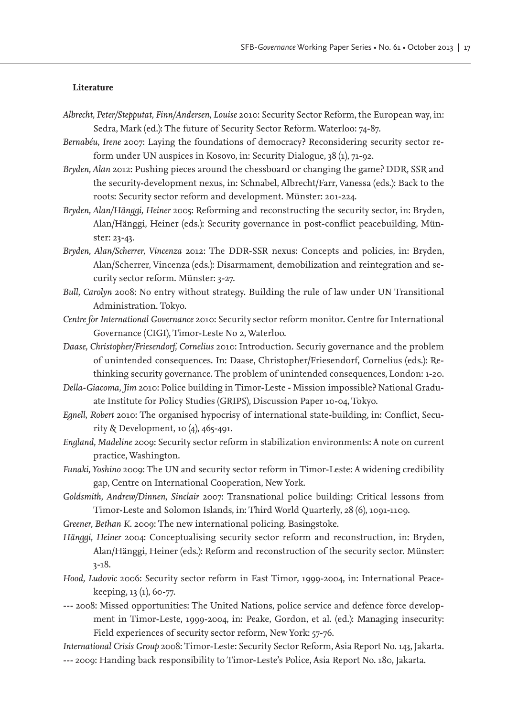#### **Literature**

- *Albrecht, Peter/Stepputat, Finn/Andersen, Louise* 2010: Security Sector Reform, the European way, in: Sedra, Mark (ed.): The future of Security Sector Reform. Waterloo: 74-87.
- *Bernabéu, Irene* 2007: Laying the foundations of democracy? Reconsidering security sector reform under UN auspices in Kosovo, in: Security Dialogue, 38 (1), 71-92.
- *Bryden, Alan* 2012: Pushing pieces around the chessboard or changing the game? DDR, SSR and the security-development nexus, in: Schnabel, Albrecht/Farr, Vanessa (eds.): Back to the roots: Security sector reform and development. Münster: 201-224.
- *Bryden, Alan/Hänggi, Heiner* 2005: Reforming and reconstructing the security sector, in: Bryden, Alan/Hänggi, Heiner (eds.): Security governance in post-conflict peacebuilding, Münster: 23-43.
- *Bryden, Alan/Scherrer, Vincenza* 2012: The DDR-SSR nexus: Concepts and policies, in: Bryden, Alan/Scherrer, Vincenza (eds.): Disarmament, demobilization and reintegration and security sector reform. Münster: 3-27.
- *Bull, Carolyn* 2008: No entry without strategy. Building the rule of law under UN Transitional Administration. Tokyo.
- *Centre for International Governance* 2010: Security sector reform monitor. Centre for International Governance (CIGI), Timor-Leste No 2, Waterloo.
- *Daase, Christopher/Friesendorf, Cornelius* 2010: Introduction. Securiy governance and the problem of unintended consequences. In: Daase, Christopher/Friesendorf, Cornelius (eds.): Rethinking security governance. The problem of unintended consequences, London: 1-20.
- *Della-Giacoma, Jim* 2010: Police building in Timor-Leste Mission impossible? National Graduate Institute for Policy Studies (GRIPS), Discussion Paper 10-04, Tokyo.
- *Egnell, Robert* 2010: The organised hypocrisy of international state-building, in: Conflict, Security & Development, 10 (4), 465-491.
- *England, Madeline* 2009: Security sector reform in stabilization environments: A note on current practice, Washington.
- *Funaki, Yoshino* 2009: The UN and security sector reform in Timor-Leste: A widening credibility gap, Centre on International Cooperation, New York.
- *Goldsmith, Andrew/Dinnen, Sinclair* 2007: Transnational police building: Critical lessons from Timor-Leste and Solomon Islands, in: Third World Quarterly, 28 (6), 1091-1109.
- *Greener, Bethan K.* 2009: The new international policing. Basingstoke.
- *Hänggi, Heiner* 2004: Conceptualising security sector reform and reconstruction, in: Bryden, Alan/Hänggi, Heiner (eds.): Reform and reconstruction of the security sector. Münster: 3-18.
- *Hood, Ludovic* 2006: Security sector reform in East Timor, 1999-2004, in: International Peacekeeping, 13 (1), 60-77.
- *---* 2008: Missed opportunities: The United Nations, police service and defence force development in Timor-Leste, 1999-2004, in: Peake, Gordon, et al. (ed.): Managing insecurity: Field experiences of security sector reform, New York: 57-76.
- *International Crisis Group* 2008: Timor-Leste: Security Sector Reform, Asia Report No. 143, Jakarta. *---* 2009: Handing back responsibility to Timor-Leste's Police, Asia Report No. 180, Jakarta.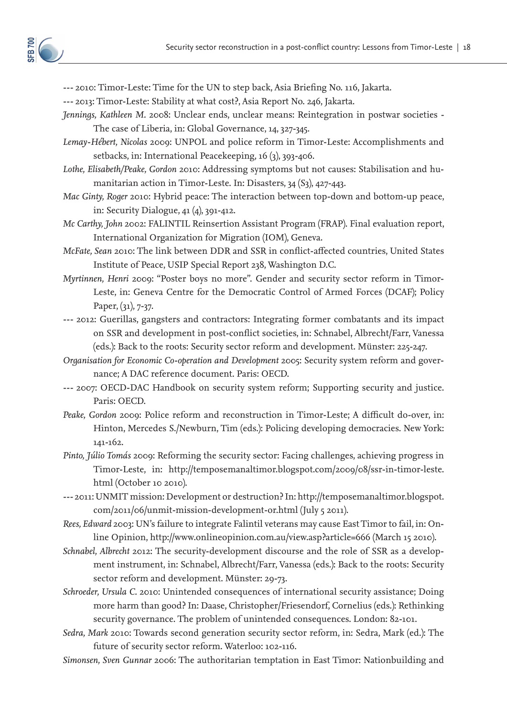*---* 2010: Timor-Leste: Time for the UN to step back, Asia Briefing No. 116, Jakarta.

*---* 2013: Timor-Leste: Stability at what cost?, Asia Report No. 246, Jakarta.

*Jennings, Kathleen M.* 2008: Unclear ends, unclear means: Reintegration in postwar societies - The case of Liberia, in: Global Governance, 14, 327-345.

*Lemay-Hébert, Nicolas* 2009: UNPOL and police reform in Timor-Leste: Accomplishments and setbacks, in: International Peacekeeping, 16 (3), 393-406.

*Lothe, Elisabeth/Peake, Gordon* 2010: Addressing symptoms but not causes: Stabilisation and humanitarian action in Timor-Leste. In: Disasters, 34 (S3), 427-443.

*Mac Ginty, Roger* 2010: Hybrid peace: The interaction between top-down and bottom-up peace, in: Security Dialogue, 41 (4), 391-412.

*Mc Carthy, John* 2002: FALINTIL Reinsertion Assistant Program (FRAP). Final evaluation report, International Organization for Migration (IOM), Geneva.

*McFate, Sean* 2010: The link between DDR and SSR in conflict-affected countries, United States Institute of Peace, USIP Special Report 238, Washington D.C.

*Myrtinnen, Henri* 2009: "Poster boys no more". Gender and security sector reform in Timor-Leste, in: Geneva Centre for the Democratic Control of Armed Forces (DCAF); Policy Paper, (31), 7-37.

*---* 2012: Guerillas, gangsters and contractors: Integrating former combatants and its impact on SSR and development in post-conflict societies, in: Schnabel, Albrecht/Farr, Vanessa (eds.): Back to the roots: Security sector reform and development. Münster: 225-247.

*Organisation for Economic Co-operation and Development* 2005: Security system reform and governance; A DAC reference document. Paris: OECD.

*---* 2007: OECD-DAC Handbook on security system reform; Supporting security and justice. Paris: OECD.

*Peake, Gordon* 2009: Police reform and reconstruction in Timor-Leste; A difficult do-over, in: Hinton, Mercedes S./Newburn, Tim (eds.): Policing developing democracies. New York: 141-162.

*Pinto, Júlio Tomás* 2009: Reforming the security sector: Facing challenges, achieving progress in Timor-Leste, in: http://temposemanaltimor.blogspot.com/2009/08/ssr-in-timor-leste. html (October 10 2010).

*---* 2011: UNMIT mission: Development or destruction? In: http://temposemanaltimor.blogspot. com/2011/06/unmit-mission-development-or.html (July 5 2011).

*Rees, Edward* 2003: UN's failure to integrate Falintil veterans may cause East Timor to fail, in: Online Opinion, http://www.onlineopinion.com.au/view.asp?article=666 (March 15 2010).

*Schnabel, Albrecht* 2012: The security-development discourse and the role of SSR as a development instrument, in: Schnabel, Albrecht/Farr, Vanessa (eds.): Back to the roots: Security sector reform and development. Münster: 29-73.

*Schroeder, Ursula C.* 2010: Unintended consequences of international security assistance; Doing more harm than good? In: Daase, Christopher/Friesendorf, Cornelius (eds.): Rethinking security governance. The problem of unintended consequences. London: 82-101.

*Sedra, Mark* 2010: Towards second generation security sector reform, in: Sedra, Mark (ed.): The future of security sector reform. Waterloo: 102-116.

*Simonsen, Sven Gunnar* 2006: The authoritarian temptation in East Timor: Nationbuilding and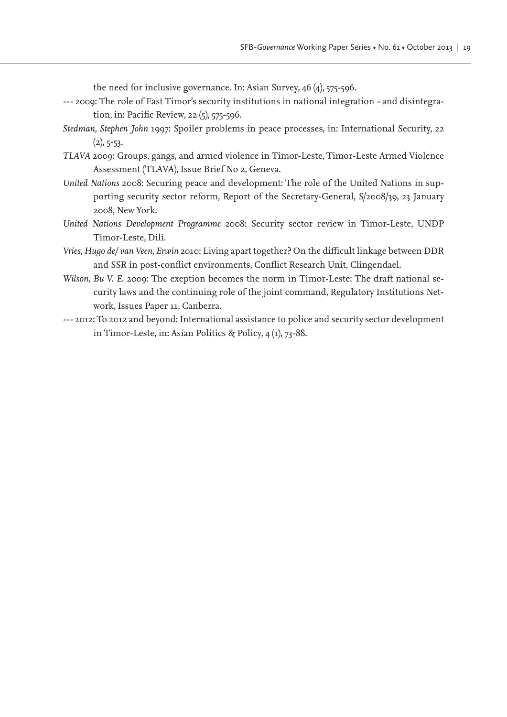the need for inclusive governance. In: Asian Survey, 46 (4), 575-596.

- *---* 2009: The role of East Timor's security institutions in national integration and disintegration, in: Pacific Review, 22 (5), 575-596.
- *Stedman, Stephen John* 1997: Spoiler problems in peace processes, in: International Security, 22  $(2), 5 - 53.$
- *TLAVA* 2009: Groups, gangs, and armed violence in Timor-Leste, Timor-Leste Armed Violence Assessment (TLAVA), Issue Brief No 2, Geneva.
- *United Nations* 2008: Securing peace and development: The role of the United Nations in supporting security sector reform, Report of the Secretary-General, S/2008/39, 23 January 2008, New York.
- *United Nations Development Programme* 2008: Security sector review in Timor-Leste, UNDP Timor-Leste, Dili.
- *Vries, Hugo de/ van Veen, Erwin* 2010: Living apart together? On the difficult linkage between DDR and SSR in post-conflict environments, Conflict Research Unit, Clingendael.
- *Wilson, Bu V. E.* 2009: The exeption becomes the norm in Timor-Leste: The draft national security laws and the continuing role of the joint command, Regulatory Institutions Network, Issues Paper 11, Canberra.
- *---* 2012: To 2012 and beyond: International assistance to police and security sector development in Timor-Leste, in: Asian Politics & Policy, 4 (1), 73-88.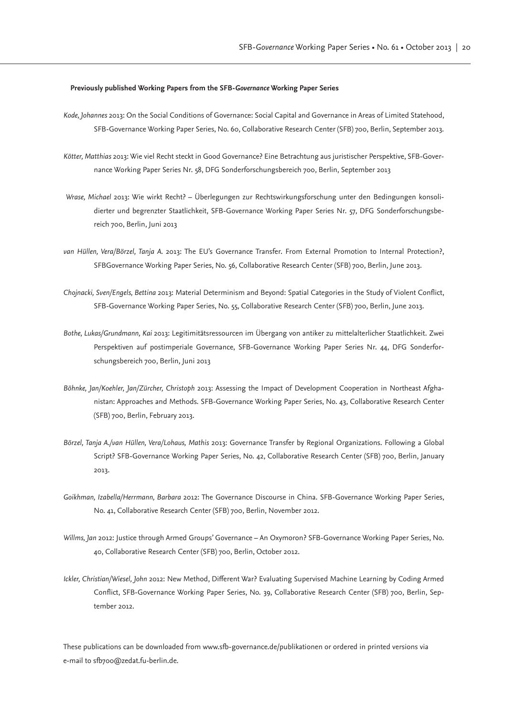#### **Previously published Working Papers from the SFB-***Governance* **Working Paper Series**

- *Kode, Johannes* 2013: On the Social Conditions of Governance: Social Capital and Governance in Areas of Limited Statehood, SFB-Governance Working Paper Series, No. 60, Collaborative Research Center (SFB) 700, Berlin, September 2013.
- *Kötter, Matthias* 2013: Wie viel Recht steckt in Good Governance? Eine Betrachtung aus juristischer Perspektive, SFB-Governance Working Paper Series Nr. 58, DFG Sonderforschungsbereich 700, Berlin, September 2013
- *Wrase, Michael* 2013: Wie wirkt Recht? Überlegungen zur Rechtswirkungsforschung unter den Bedingungen konsolidierter und begrenzter Staatlichkeit, SFB-Governance Working Paper Series Nr. 57, DFG Sonderforschungsbereich 700, Berlin, Juni 2013
- *van Hüllen, Vera/Börzel, Tanja A.* 2013: The EU's Governance Transfer. From External Promotion to Internal Protection?, SFBGovernance Working Paper Series, No. 56, Collaborative Research Center (SFB) 700, Berlin, June 2013.
- *Chojnacki, Sven/Engels, Bettina* 2013: Material Determinism and Beyond: Spatial Categories in the Study of Violent Conflict, SFB-Governance Working Paper Series, No. 55, Collaborative Research Center (SFB) 700, Berlin, June 2013.
- *Bothe, Lukas/Grundmann, Kai* 2013: Legitimitätsressourcen im Übergang von antiker zu mittelalterlicher Staatlichkeit. Zwei Perspektiven auf postimperiale Governance, SFB-Governance Working Paper Series Nr. 44, DFG Sonderforschungsbereich 700, Berlin, Juni 2013
- *Böhnke, Jan/Koehler, Jan/Zürcher, Christoph* 2013: Assessing the Impact of Development Cooperation in Northeast Afghanistan: Approaches and Methods. SFB-Governance Working Paper Series, No. 43, Collaborative Research Center (SFB) 700, Berlin, February 2013.
- *Börzel, Tanja A./van Hüllen, Vera/Lohaus, Mathis* 2013: Governance Transfer by Regional Organizations. Following a Global Script? SFB-Governance Working Paper Series, No. 42, Collaborative Research Center (SFB) 700, Berlin, January 2013.
- *Goikhman, Izabella/Herrmann, Barbara* 2012: The Governance Discourse in China. SFB-Governance Working Paper Series, No. 41, Collaborative Research Center (SFB) 700, Berlin, November 2012.
- *Willms, Jan* 2012: Justice through Armed Groups' Governance An Oxymoron? SFB-Governance Working Paper Series, No. 40, Collaborative Research Center (SFB) 700, Berlin, October 2012.
- *Ickler, Christian/Wiesel, John* 2012: New Method, Different War? Evaluating Supervised Machine Learning by Coding Armed Conflict, SFB-Governance Working Paper Series, No. 39, Collaborative Research Center (SFB) 700, Berlin, September 2012

These publications can be downloaded from www.sfb-governance.de/publikationen or ordered in printed versions via e-mail to sfb700@zedat.fu-berlin.de.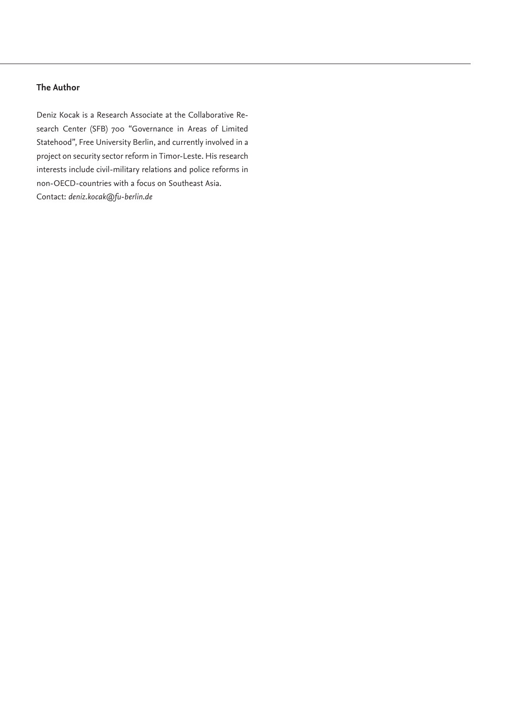# **The Author**

Deniz Kocak is a Research Associate at the Collaborative Research Center (SFB) 700 "Governance in Areas of Limited Statehood", Free University Berlin, and currently involved in a project on security sector reform in Timor-Leste. His research interests include civil-military relations and police reforms in non-OECD-countries with a focus on Southeast Asia. Contact: *deniz.kocak@fu-berlin.de*